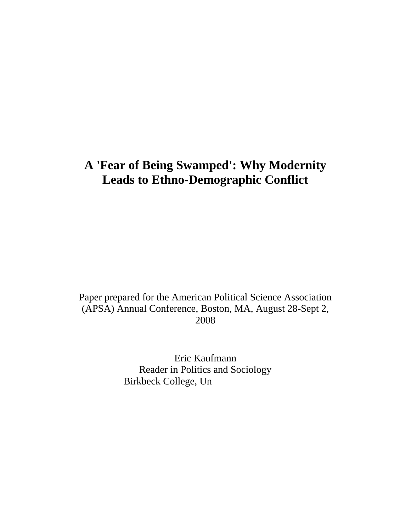# **A 'Fear of Being Swamped': Why Modernity Leads to Ethno-Demographic Conflict**

Paper prepared for the American Political Science Association (APSA) Annual Conference, Boston, MA, August 28-Sept 2, 2008

> Eric Kaufmann Reader in Politics and Sociology Birkbeck College, Un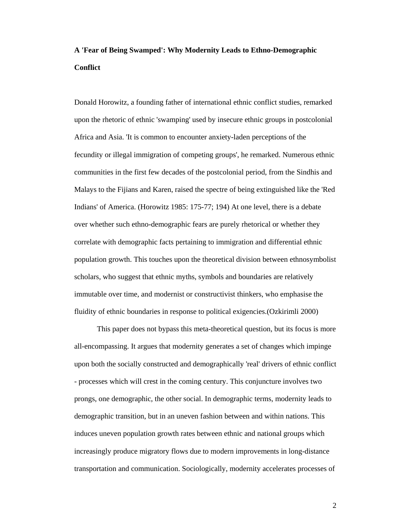# **A 'Fear of Being Swamped': Why Modernity Leads to Ethno-Demographic Conflict**

Donald Horowitz, a founding father of international ethnic conflict studies, remarked upon the rhetoric of ethnic 'swamping' used by insecure ethnic groups in postcolonial Africa and Asia. 'It is common to encounter anxiety-laden perceptions of the fecundity or illegal immigration of competing groups', he remarked. Numerous ethnic communities in the first few decades of the postcolonial period, from the Sindhis and Malays to the Fijians and Karen, raised the spectre of being extinguished like the 'Red Indians' of America. (Horowitz 1985: 175-77; 194) At one level, there is a debate over whether such ethno-demographic fears are purely rhetorical or whether they correlate with demographic facts pertaining to immigration and differential ethnic population growth. This touches upon the theoretical division between ethnosymbolist scholars, who suggest that ethnic myths, symbols and boundaries are relatively immutable over time, and modernist or constructivist thinkers, who emphasise the fluidity of ethnic boundaries in response to political exigencies.(Ozkirimli 2000)

 This paper does not bypass this meta-theoretical question, but its focus is more all-encompassing. It argues that modernity generates a set of changes which impinge upon both the socially constructed and demographically 'real' drivers of ethnic conflict - processes which will crest in the coming century. This conjuncture involves two prongs, one demographic, the other social. In demographic terms, modernity leads to demographic transition, but in an uneven fashion between and within nations. This induces uneven population growth rates between ethnic and national groups which increasingly produce migratory flows due to modern improvements in long-distance transportation and communication. Sociologically, modernity accelerates processes of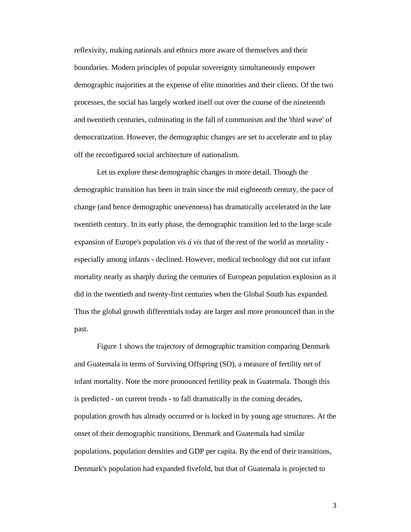reflexivity, making nationals and ethnics more aware of themselves and their boundaries. Modern principles of popular sovereignty simultaneously empower demographic majorities at the expense of elite minorities and their clients. Of the two processes, the social has largely worked itself out over the course of the nineteenth and twentieth centuries, culminating in the fall of communism and the 'third wave' of democratization. However, the demographic changes are set to accelerate and to play off the reconfigured social architecture of nationalism.

Let us explore these demographic changes in more detail. Though the demographic transition has been in train since the mid eighteenth century, the pace of change (and hence demographic unevenness) has dramatically accelerated in the late twentieth century. In its early phase, the demographic transition led to the large scale expansion of Europe's population *vis á vis* that of the rest of the world as mortality especially among infants - declined. However, medical technology did not cut infant mortality nearly as sharply during the centuries of European population explosion as it did in the twentieth and twenty-first centuries when the Global South has expanded. Thus the global growth differentials today are larger and more pronounced than in the past.

Figure 1 shows the trajectory of demographic transition comparing Denmark and Guatemala in terms of Surviving Offspring (SO), a measure of fertility net of infant mortality. Note the more pronounced fertility peak in Guatemala. Though this is predicted - on current trends - to fall dramatically in the coming decades, population growth has already occurred or is locked in by young age structures. At the onset of their demographic transitions, Denmark and Guatemala had similar populations, population densities and GDP per capita. By the end of their transitions, Denmark's population had expanded fivefold, but that of Guatemala is projected to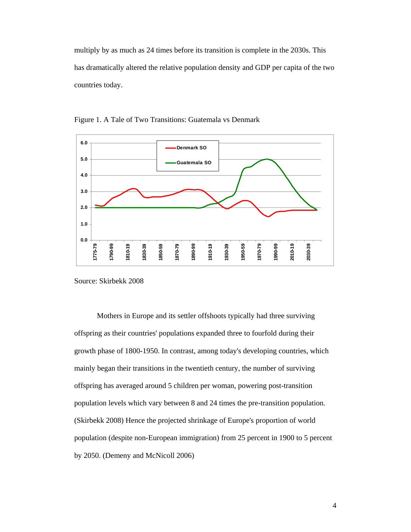multiply by as much as 24 times before its transition is complete in the 2030s. This has dramatically altered the relative population density and GDP per capita of the two countries today.



Figure 1. A Tale of Two Transitions: Guatemala vs Denmark

Source: Skirbekk 2008

Mothers in Europe and its settler offshoots typically had three surviving offspring as their countries' populations expanded three to fourfold during their growth phase of 1800-1950. In contrast, among today's developing countries, which mainly began their transitions in the twentieth century, the number of surviving offspring has averaged around 5 children per woman, powering post-transition population levels which vary between 8 and 24 times the pre-transition population. (Skirbekk 2008) Hence the projected shrinkage of Europe's proportion of world population (despite non-European immigration) from 25 percent in 1900 to 5 percent by 2050. (Demeny and McNicoll 2006)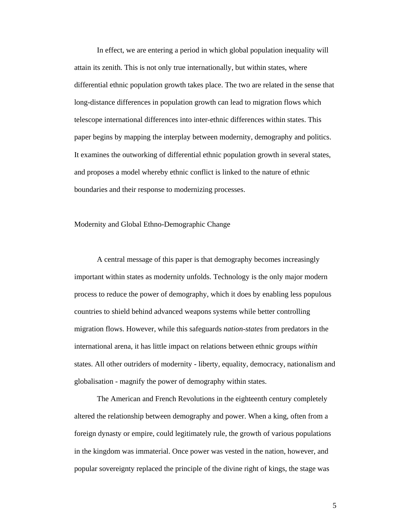In effect, we are entering a period in which global population inequality will attain its zenith. This is not only true internationally, but within states, where differential ethnic population growth takes place. The two are related in the sense that long-distance differences in population growth can lead to migration flows which telescope international differences into inter-ethnic differences within states. This paper begins by mapping the interplay between modernity, demography and politics. It examines the outworking of differential ethnic population growth in several states, and proposes a model whereby ethnic conflict is linked to the nature of ethnic boundaries and their response to modernizing processes.

Modernity and Global Ethno-Demographic Change

A central message of this paper is that demography becomes increasingly important within states as modernity unfolds. Technology is the only major modern process to reduce the power of demography, which it does by enabling less populous countries to shield behind advanced weapons systems while better controlling migration flows. However, while this safeguards *nation-states* from predators in the international arena, it has little impact on relations between ethnic groups *within* states. All other outriders of modernity - liberty, equality, democracy, nationalism and globalisation - magnify the power of demography within states.

 The American and French Revolutions in the eighteenth century completely altered the relationship between demography and power. When a king, often from a foreign dynasty or empire, could legitimately rule, the growth of various populations in the kingdom was immaterial. Once power was vested in the nation, however, and popular sovereignty replaced the principle of the divine right of kings, the stage was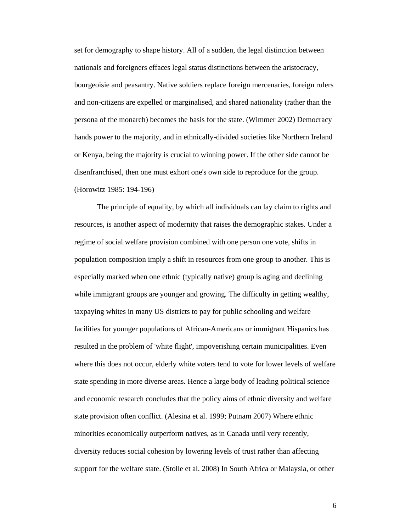set for demography to shape history. All of a sudden, the legal distinction between nationals and foreigners effaces legal status distinctions between the aristocracy, bourgeoisie and peasantry. Native soldiers replace foreign mercenaries, foreign rulers and non-citizens are expelled or marginalised, and shared nationality (rather than the persona of the monarch) becomes the basis for the state. (Wimmer 2002) Democracy hands power to the majority, and in ethnically-divided societies like Northern Ireland or Kenya, being the majority is crucial to winning power. If the other side cannot be disenfranchised, then one must exhort one's own side to reproduce for the group. (Horowitz 1985: 194-196)

 The principle of equality, by which all individuals can lay claim to rights and resources, is another aspect of modernity that raises the demographic stakes. Under a regime of social welfare provision combined with one person one vote, shifts in population composition imply a shift in resources from one group to another. This is especially marked when one ethnic (typically native) group is aging and declining while immigrant groups are younger and growing. The difficulty in getting wealthy, taxpaying whites in many US districts to pay for public schooling and welfare facilities for younger populations of African-Americans or immigrant Hispanics has resulted in the problem of 'white flight', impoverishing certain municipalities. Even where this does not occur, elderly white voters tend to vote for lower levels of welfare state spending in more diverse areas. Hence a large body of leading political science and economic research concludes that the policy aims of ethnic diversity and welfare state provision often conflict. (Alesina et al. 1999; Putnam 2007) Where ethnic minorities economically outperform natives, as in Canada until very recently, diversity reduces social cohesion by lowering levels of trust rather than affecting support for the welfare state. (Stolle et al. 2008) In South Africa or Malaysia, or other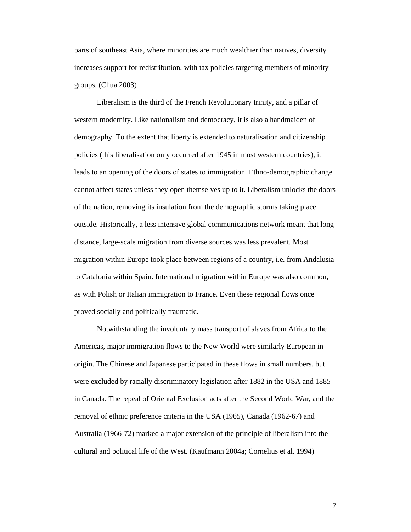parts of southeast Asia, where minorities are much wealthier than natives, diversity increases support for redistribution, with tax policies targeting members of minority groups. (Chua 2003)

 Liberalism is the third of the French Revolutionary trinity, and a pillar of western modernity. Like nationalism and democracy, it is also a handmaiden of demography. To the extent that liberty is extended to naturalisation and citizenship policies (this liberalisation only occurred after 1945 in most western countries), it leads to an opening of the doors of states to immigration. Ethno-demographic change cannot affect states unless they open themselves up to it. Liberalism unlocks the doors of the nation, removing its insulation from the demographic storms taking place outside. Historically, a less intensive global communications network meant that longdistance, large-scale migration from diverse sources was less prevalent. Most migration within Europe took place between regions of a country, i.e. from Andalusia to Catalonia within Spain. International migration within Europe was also common, as with Polish or Italian immigration to France. Even these regional flows once proved socially and politically traumatic.

 Notwithstanding the involuntary mass transport of slaves from Africa to the Americas, major immigration flows to the New World were similarly European in origin. The Chinese and Japanese participated in these flows in small numbers, but were excluded by racially discriminatory legislation after 1882 in the USA and 1885 in Canada. The repeal of Oriental Exclusion acts after the Second World War, and the removal of ethnic preference criteria in the USA (1965), Canada (1962-67) and Australia (1966-72) marked a major extension of the principle of liberalism into the cultural and political life of the West. (Kaufmann 2004a; Cornelius et al. 1994)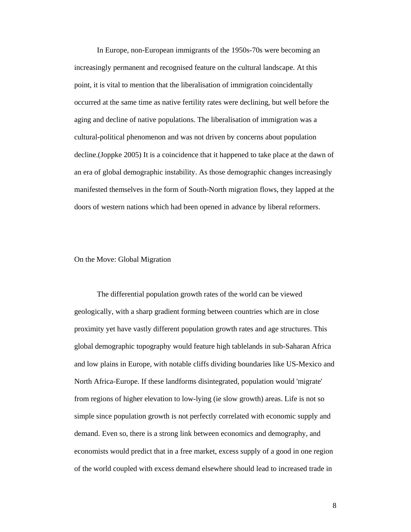In Europe, non-European immigrants of the 1950s-70s were becoming an increasingly permanent and recognised feature on the cultural landscape. At this point, it is vital to mention that the liberalisation of immigration coincidentally occurred at the same time as native fertility rates were declining, but well before the aging and decline of native populations. The liberalisation of immigration was a cultural-political phenomenon and was not driven by concerns about population decline.(Joppke 2005) It is a coincidence that it happened to take place at the dawn of an era of global demographic instability. As those demographic changes increasingly manifested themselves in the form of South-North migration flows, they lapped at the doors of western nations which had been opened in advance by liberal reformers.

#### On the Move: Global Migration

 The differential population growth rates of the world can be viewed geologically, with a sharp gradient forming between countries which are in close proximity yet have vastly different population growth rates and age structures. This global demographic topography would feature high tablelands in sub-Saharan Africa and low plains in Europe, with notable cliffs dividing boundaries like US-Mexico and North Africa-Europe. If these landforms disintegrated, population would 'migrate' from regions of higher elevation to low-lying (ie slow growth) areas. Life is not so simple since population growth is not perfectly correlated with economic supply and demand. Even so, there is a strong link between economics and demography, and economists would predict that in a free market, excess supply of a good in one region of the world coupled with excess demand elsewhere should lead to increased trade in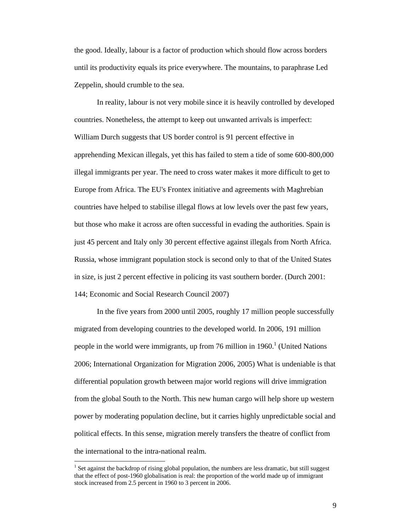the good. Ideally, labour is a factor of production which should flow across borders until its productivity equals its price everywhere. The mountains, to paraphrase Led Zeppelin, should crumble to the sea.

In reality, labour is not very mobile since it is heavily controlled by developed countries. Nonetheless, the attempt to keep out unwanted arrivals is imperfect: William Durch suggests that US border control is 91 percent effective in apprehending Mexican illegals, yet this has failed to stem a tide of some 600-800,000 illegal immigrants per year. The need to cross water makes it more difficult to get to Europe from Africa. The EU's Frontex initiative and agreements with Maghrebian countries have helped to stabilise illegal flows at low levels over the past few years, but those who make it across are often successful in evading the authorities. Spain is just 45 percent and Italy only 30 percent effective against illegals from North Africa. Russia, whose immigrant population stock is second only to that of the United States in size, is just 2 percent effective in policing its vast southern border. (Durch 2001: 144; Economic and Social Research Council 2007)

In the five years from 2000 until 2005, roughly 17 million people successfully migrated from developing countries to the developed world. In 2006, 191 million people in the world were immigrants, up from 76 million in  $1960<sup>1</sup>$  (United Nations 2006; International Organization for Migration 2006, 2005) What is undeniable is that differential population growth between major world regions will drive immigration from the global South to the North. This new human cargo will help shore up western power by moderating population decline, but it carries highly unpredictable social and political effects. In this sense, migration merely transfers the theatre of conflict from the international to the intra-national realm.

 $\overline{a}$ 

 $1$  Set against the backdrop of rising global population, the numbers are less dramatic, but still suggest that the effect of post-1960 globalisation is real: the proportion of the world made up of immigrant stock increased from 2.5 percent in 1960 to 3 percent in 2006.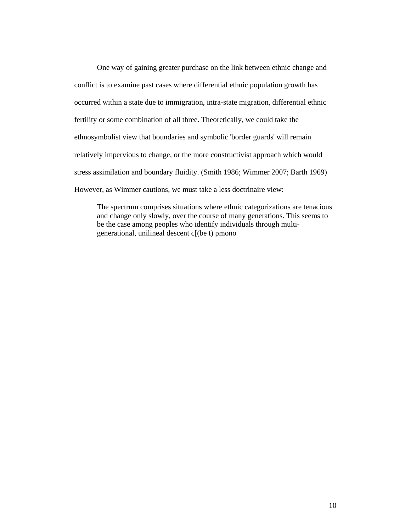One way of gaining greater purchase on the link between ethnic change and conflict is to examine past cases where differential ethnic population growth has occurred within a state due to immigration, intra-state migration, differential ethnic fertility or some combination of all three. Theoretically, we could take the ethnosymbolist view that boundaries and symbolic 'border guards' will remain relatively impervious to change, or the more constructivist approach which would stress assimilation and boundary fluidity. (Smith 1986; Wimmer 2007; Barth 1969) However, as Wimmer cautions, we must take a less doctrinaire view:

The spectrum comprises situations where ethnic categorizations are tenacious and change only slowly, over the course of many generations. This seems to be the case among peoples who identify individuals through multigenerational, unilineal descent  $c[(be t)$  pmonoanow the. s s Gil-Whitat1999). Inthmh4(eru)]TJm generational, unilineal descent c[(be t) pmonoanow the. s s Gil-Whitat1999). Inthmh4(eru)]TJm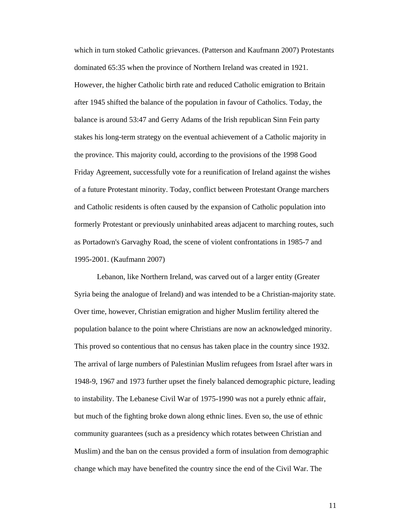which in turn stoked Catholic grievances. (Patterson and Kaufmann 2007) Protestants dominated 65:35 when the province of Northern Ireland was created in 1921. However, the higher Catholic birth rate and reduced Catholic emigration to Britain after 1945 shifted the balance of the population in favour of Catholics. Today, the balance is around 53:47 and Gerry Adams of the Irish republican Sinn Fein party stakes his long-term strategy on the eventual achievement of a Catholic majority in the province. This majority could, according to the provisions of the 1998 Good Friday Agreement, successfully vote for a reunification of Ireland against the wishes of a future Protestant minority. Today, conflict between Protestant Orange marchers and Catholic residents is often caused by the expansion of Catholic population into formerly Protestant or previously uninhabited areas adjacent to marching routes, such as Portadown's Garvaghy Road, the scene of violent confrontations in 1985-7 and 1995-2001. (Kaufmann 2007)

Lebanon, like Northern Ireland, was carved out of a larger entity (Greater Syria being the analogue of Ireland) and was intended to be a Christian-majority state. Over time, however, Christian emigration and higher Muslim fertility altered the population balance to the point where Christians are now an acknowledged minority. This proved so contentious that no census has taken place in the country since 1932. The arrival of large numbers of Palestinian Muslim refugees from Israel after wars in 1948-9, 1967 and 1973 further upset the finely balanced demographic picture, leading to instability. The Lebanese Civil War of 1975-1990 was not a purely ethnic affair, but much of the fighting broke down along ethnic lines. Even so, the use of ethnic community guarantees (such as a presidency which rotates between Christian and Muslim) and the ban on the census provided a form of insulation from demographic change which may have benefited the country since the end of the Civil War. The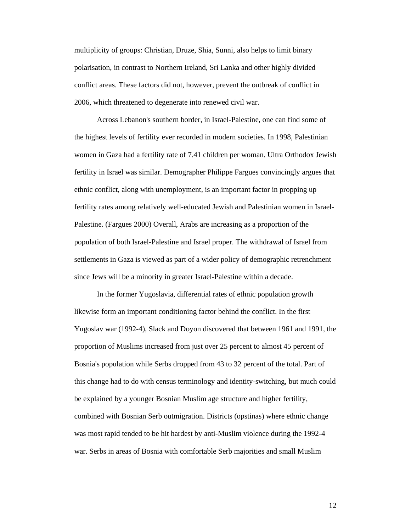multiplicity of groups: Christian, Druze, Shia, Sunni, also helps to limit binary polarisation, in contrast to Northern Ireland, Sri Lanka and other highly divided conflict areas. These factors did not, however, prevent the outbreak of conflict in 2006, which threatened to degenerate into renewed civil war.

Across Lebanon's southern border, in Israel-Palestine, one can find some of the highest levels of fertility ever recorded in modern societies. In 1998, Palestinian women in Gaza had a fertility rate of 7.41 children per woman. Ultra Orthodox Jewish fertility in Israel was similar. Demographer Philippe Fargues convincingly argues that ethnic conflict, along with unemployment, is an important factor in propping up fertility rates among relatively well-educated Jewish and Palestinian women in Israel-Palestine. (Fargues 2000) Overall, Arabs are increasing as a proportion of the population of both Israel-Palestine and Israel proper. The withdrawal of Israel from settlements in Gaza is viewed as part of a wider policy of demographic retrenchment since Jews will be a minority in greater Israel-Palestine within a decade.

In the former Yugoslavia, differential rates of ethnic population growth likewise form an important conditioning factor behind the conflict. In the first Yugoslav war (1992-4), Slack and Doyon discovered that between 1961 and 1991, the proportion of Muslims increased from just over 25 percent to almost 45 percent of Bosnia's population while Serbs dropped from 43 to 32 percent of the total. Part of this change had to do with census terminology and identity-switching, but much could be explained by a younger Bosnian Muslim age structure and higher fertility, combined with Bosnian Serb outmigration. Districts (opstinas) where ethnic change was most rapid tended to be hit hardest by anti-Muslim violence during the 1992-4 war. Serbs in areas of Bosnia with comfortable Serb majorities and small Muslim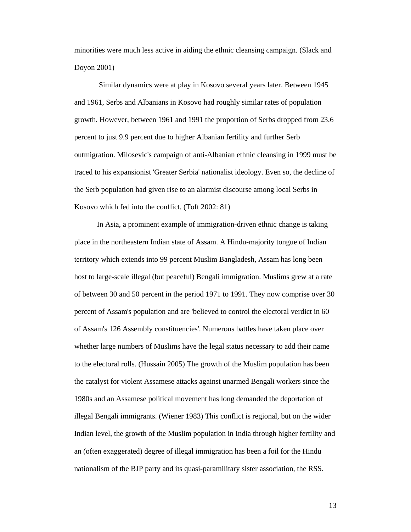minorities were much less active in aiding the ethnic cleansing campaign. (Slack and Doyon 2001)

 Similar dynamics were at play in Kosovo several years later. Between 1945 and 1961, Serbs and Albanians in Kosovo had roughly similar rates of population growth. However, between 1961 and 1991 the proportion of Serbs dropped from 23.6 percent to just 9.9 percent due to higher Albanian fertility and further Serb outmigration. Milosevic's campaign of anti-Albanian ethnic cleansing in 1999 must be traced to his expansionist 'Greater Serbia' nationalist ideology. Even so, the decline of the Serb population had given rise to an alarmist discourse among local Serbs in Kosovo which fed into the conflict. (Toft 2002: 81)

In Asia, a prominent example of immigration-driven ethnic change is taking place in the northeastern Indian state of Assam. A Hindu-majority tongue of Indian territory which extends into 99 percent Muslim Bangladesh, Assam has long been host to large-scale illegal (but peaceful) Bengali immigration. Muslims grew at a rate of between 30 and 50 percent in the period 1971 to 1991. They now comprise over 30 percent of Assam's population and are 'believed to control the electoral verdict in 60 of Assam's 126 Assembly constituencies'. Numerous battles have taken place over whether large numbers of Muslims have the legal status necessary to add their name to the electoral rolls. (Hussain 2005) The growth of the Muslim population has been the catalyst for violent Assamese attacks against unarmed Bengali workers since the 1980s and an Assamese political movement has long demanded the deportation of illegal Bengali immigrants. (Wiener 1983) This conflict is regional, but on the wider Indian level, the growth of the Muslim population in India through higher fertility and an (often exaggerated) degree of illegal immigration has been a foil for the Hindu nationalism of the BJP party and its quasi-paramilitary sister association, the RSS.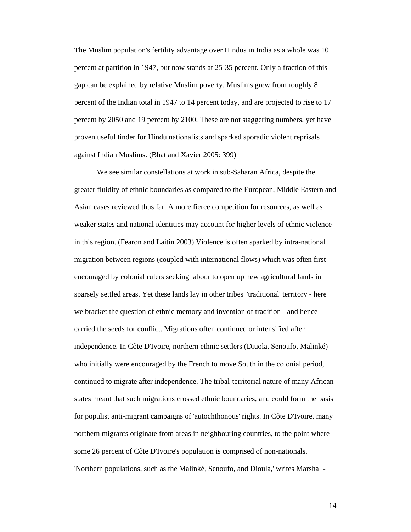The Muslim population's fertility advantage over Hindus in India as a whole was 10 percent at partition in 1947, but now stands at 25-35 percent. Only a fraction of this gap can be explained by relative Muslim poverty. Muslims grew from roughly 8 percent of the Indian total in 1947 to 14 percent today, and are projected to rise to 17 percent by 2050 and 19 percent by 2100. These are not staggering numbers, yet have proven useful tinder for Hindu nationalists and sparked sporadic violent reprisals against Indian Muslims. (Bhat and Xavier 2005: 399)

We see similar constellations at work in sub-Saharan Africa, despite the greater fluidity of ethnic boundaries as compared to the European, Middle Eastern and Asian cases reviewed thus far. A more fierce competition for resources, as well as weaker states and national identities may account for higher levels of ethnic violence in this region. (Fearon and Laitin 2003) Violence is often sparked by intra-national migration between regions (coupled with international flows) which was often first encouraged by colonial rulers seeking labour to open up new agricultural lands in sparsely settled areas. Yet these lands lay in other tribes' 'traditional' territory - here we bracket the question of ethnic memory and invention of tradition - and hence carried the seeds for conflict. Migrations often continued or intensified after independence. In Côte D'Ivoire, northern ethnic settlers (Diuola, Senoufo, Malinké) who initially were encouraged by the French to move South in the colonial period, continued to migrate after independence. The tribal-territorial nature of many African states meant that such migrations crossed ethnic boundaries, and could form the basis for populist anti-migrant campaigns of 'autochthonous' rights. In Côte D'Ivoire, many northern migrants originate from areas in neighbouring countries, to the point where some 26 percent of Côte D'Ivoire's population is comprised of non-nationals. 'Northern populations, such as the Malinké, Senoufo, and Dioula,' writes Marshall-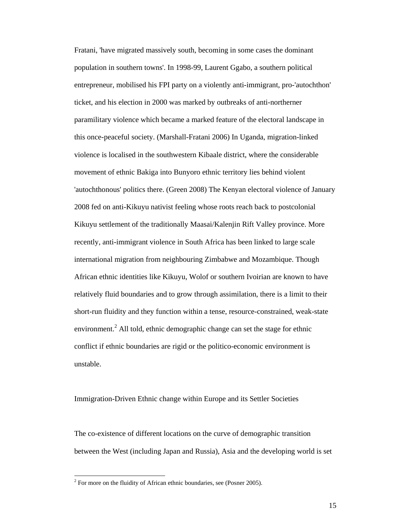Fratani, 'have migrated massively south, becoming in some cases the dominant population in southern towns'. In 1998-99, Laurent Ggabo, a southern political entrepreneur, mobilised his FPI party on a violently anti-immigrant, pro-'autochthon' ticket, and his election in 2000 was marked by outbreaks of anti-northerner paramilitary violence which became a marked feature of the electoral landscape in this once-peaceful society. (Marshall-Fratani 2006) In Uganda, migration-linked violence is localised in the southwestern Kibaale district, where the considerable movement of ethnic Bakiga into Bunyoro ethnic territory lies behind violent 'autochthonous' politics there. (Green 2008) The Kenyan electoral violence of January 2008 fed on anti-Kikuyu nativist feeling whose roots reach back to postcolonial Kikuyu settlement of the traditionally Maasai/Kalenjin Rift Valley province. More recently, anti-immigrant violence in South Africa has been linked to large scale international migration from neighbouring Zimbabwe and Mozambique. Though African ethnic identities like Kikuyu, Wolof or southern Ivoirian are known to have relatively fluid boundaries and to grow through assimilation, there is a limit to their short-run fluidity and they function within a tense, resource-constrained, weak-state environment.<sup>2</sup> All told, ethnic demographic change can set the stage for ethnic conflict if ethnic boundaries are rigid or the politico-economic environment is unstable.

Immigration-Driven Ethnic change within Europe and its Settler Societies

The co-existence of different locations on the curve of demographic transition between the West (including Japan and Russia), Asia and the developing world is set

 $\overline{a}$ 

 $2^2$  For more on the fluidity of African ethnic boundaries, see (Posner 2005).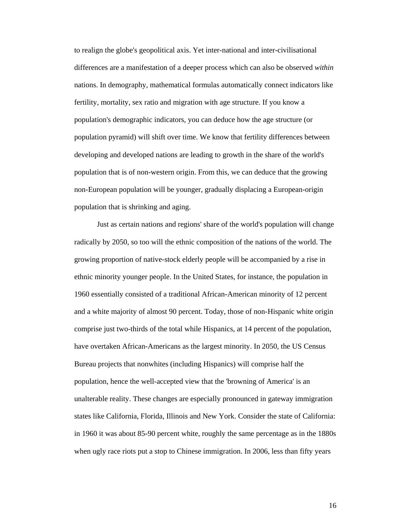to realign the globe's geopolitical axis. Yet inter-national and inter-civilisational differences are a manifestation of a deeper process which can also be observed *within* nations. In demography, mathematical formulas automatically connect indicators like fertility, mortality, sex ratio and migration with age structure. If you know a population's demographic indicators, you can deduce how the age structure (or population pyramid) will shift over time. We know that fertility differences between developing and developed nations are leading to growth in the share of the world's population that is of non-western origin. From this, we can deduce that the growing non-European population will be younger, gradually displacing a European-origin population that is shrinking and aging.

Just as certain nations and regions' share of the world's population will change radically by 2050, so too will the ethnic composition of the nations of the world. The growing proportion of native-stock elderly people will be accompanied by a rise in ethnic minority younger people. In the United States, for instance, the population in 1960 essentially consisted of a traditional African-American minority of 12 percent and a white majority of almost 90 percent. Today, those of non-Hispanic white origin comprise just two-thirds of the total while Hispanics, at 14 percent of the population, have overtaken African-Americans as the largest minority. In 2050, the US Census Bureau projects that nonwhites (including Hispanics) will comprise half the population, hence the well-accepted view that the 'browning of America' is an unalterable reality. These changes are especially pronounced in gateway immigration states like California, Florida, Illinois and New York. Consider the state of California: in 1960 it was about 85-90 percent white, roughly the same percentage as in the 1880s when ugly race riots put a stop to Chinese immigration. In 2006, less than fifty years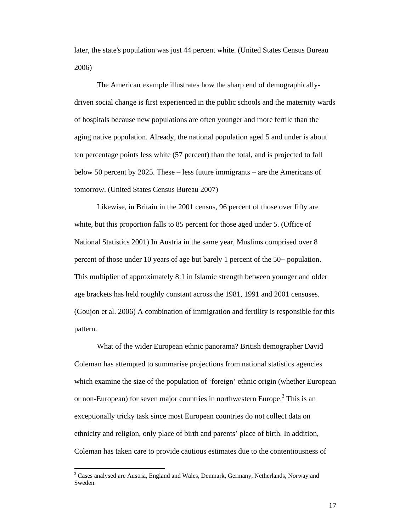later, the state's population was just 44 percent white. (United States Census Bureau 2006)

The American example illustrates how the sharp end of demographicallydriven social change is first experienced in the public schools and the maternity wards of hospitals because new populations are often younger and more fertile than the aging native population. Already, the national population aged 5 and under is about ten percentage points less white (57 percent) than the total, and is projected to fall below 50 percent by 2025. These – less future immigrants – are the Americans of tomorrow. (United States Census Bureau 2007)

Likewise, in Britain in the 2001 census, 96 percent of those over fifty are white, but this proportion falls to 85 percent for those aged under 5. (Office of National Statistics 2001) In Austria in the same year, Muslims comprised over 8 percent of those under 10 years of age but barely 1 percent of the 50+ population. This multiplier of approximately 8:1 in Islamic strength between younger and older age brackets has held roughly constant across the 1981, 1991 and 2001 censuses. (Goujon et al. 2006) A combination of immigration and fertility is responsible for this pattern.

What of the wider European ethnic panorama? British demographer David Coleman has attempted to summarise projections from national statistics agencies which examine the size of the population of 'foreign' ethnic origin (whether European or non-European) for seven major countries in northwestern Europe.<sup>3</sup> This is an exceptionally tricky task since most European countries do not collect data on ethnicity and religion, only place of birth and parents' place of birth. In addition, Coleman has taken care to provide cautious estimates due to the contentiousness of

 $\overline{a}$ 

<sup>&</sup>lt;sup>3</sup> Cases analysed are Austria, England and Wales, Denmark, Germany, Netherlands, Norway and Sweden.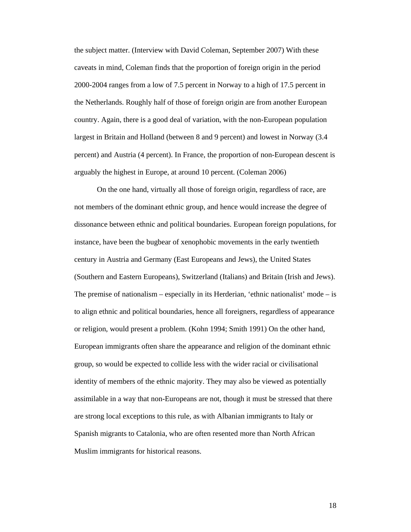the subject matter. (Interview with David Coleman, September 2007) With these caveats in mind, Coleman finds that the proportion of foreign origin in the period 2000-2004 ranges from a low of 7.5 percent in Norway to a high of 17.5 percent in the Netherlands. Roughly half of those of foreign origin are from another European country. Again, there is a good deal of variation, with the non-European population largest in Britain and Holland (between 8 and 9 percent) and lowest in Norway (3.4 percent) and Austria (4 percent). In France, the proportion of non-European descent is arguably the highest in Europe, at around 10 percent. (Coleman 2006)

On the one hand, virtually all those of foreign origin, regardless of race, are not members of the dominant ethnic group, and hence would increase the degree of dissonance between ethnic and political boundaries. European foreign populations, for instance, have been the bugbear of xenophobic movements in the early twentieth century in Austria and Germany (East Europeans and Jews), the United States (Southern and Eastern Europeans), Switzerland (Italians) and Britain (Irish and Jews). The premise of nationalism – especially in its Herderian, 'ethnic nationalist' mode – is to align ethnic and political boundaries, hence all foreigners, regardless of appearance or religion, would present a problem. (Kohn 1994; Smith 1991) On the other hand, European immigrants often share the appearance and religion of the dominant ethnic group, so would be expected to collide less with the wider racial or civilisational identity of members of the ethnic majority. They may also be viewed as potentially assimilable in a way that non-Europeans are not, though it must be stressed that there are strong local exceptions to this rule, as with Albanian immigrants to Italy or Spanish migrants to Catalonia, who are often resented more than North African Muslim immigrants for historical reasons.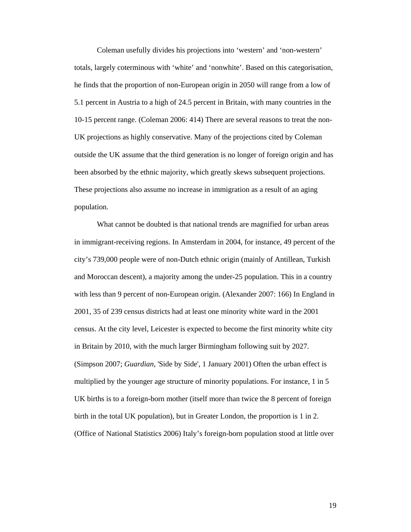Coleman usefully divides his projections into 'western' and 'non-western' totals, largely coterminous with 'white' and 'nonwhite'. Based on this categorisation, he finds that the proportion of non-European origin in 2050 will range from a low of 5.1 percent in Austria to a high of 24.5 percent in Britain, with many countries in the 10-15 percent range. (Coleman 2006: 414) There are several reasons to treat the non-UK projections as highly conservative. Many of the projections cited by Coleman outside the UK assume that the third generation is no longer of foreign origin and has been absorbed by the ethnic majority, which greatly skews subsequent projections. These projections also assume no increase in immigration as a result of an aging population.

What cannot be doubted is that national trends are magnified for urban areas in immigrant-receiving regions. In Amsterdam in 2004, for instance, 49 percent of the city's 739,000 people were of non-Dutch ethnic origin (mainly of Antillean, Turkish and Moroccan descent), a majority among the under-25 population. This in a country with less than 9 percent of non-European origin. (Alexander 2007: 166) In England in 2001, 35 of 239 census districts had at least one minority white ward in the 2001 census. At the city level, Leicester is expected to become the first minority white city in Britain by 2010, with the much larger Birmingham following suit by 2027. (Simpson 2007; *Guardian*, 'Side by Side', 1 January 2001) Often the urban effect is multiplied by the younger age structure of minority populations. For instance, 1 in 5 UK births is to a foreign-born mother (itself more than twice the 8 percent of foreign birth in the total UK population), but in Greater London, the proportion is 1 in 2. (Office of National Statistics 2006) Italy's foreign-born population stood at little over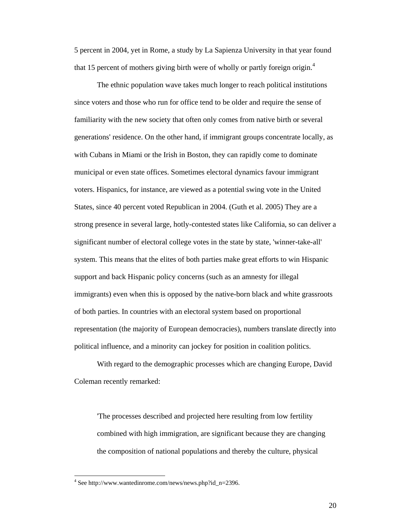5 percent in 2004, yet in Rome, a study by La Sapienza University in that year found that 15 percent of mothers giving birth were of wholly or partly foreign origin.<sup>4</sup>

The ethnic population wave takes much longer to reach political institutions since voters and those who run for office tend to be older and require the sense of familiarity with the new society that often only comes from native birth or several generations' residence. On the other hand, if immigrant groups concentrate locally, as with Cubans in Miami or the Irish in Boston, they can rapidly come to dominate municipal or even state offices. Sometimes electoral dynamics favour immigrant voters. Hispanics, for instance, are viewed as a potential swing vote in the United States, since 40 percent voted Republican in 2004. (Guth et al. 2005) They are a strong presence in several large, hotly-contested states like California, so can deliver a significant number of electoral college votes in the state by state, 'winner-take-all' system. This means that the elites of both parties make great efforts to win Hispanic support and back Hispanic policy concerns (such as an amnesty for illegal immigrants) even when this is opposed by the native-born black and white grassroots of both parties. In countries with an electoral system based on proportional representation (the majority of European democracies), numbers translate directly into political influence, and a minority can jockey for position in coalition politics.

With regard to the demographic processes which are changing Europe, David Coleman recently remarked:

'The processes described and projected here resulting from low fertility combined with high immigration, are significant because they are changing the composition of national populations and thereby the culture, physical

 $\overline{a}$ 

<sup>4</sup> See http://www.wantedinrome.com/news/news.php?id\_n=2396.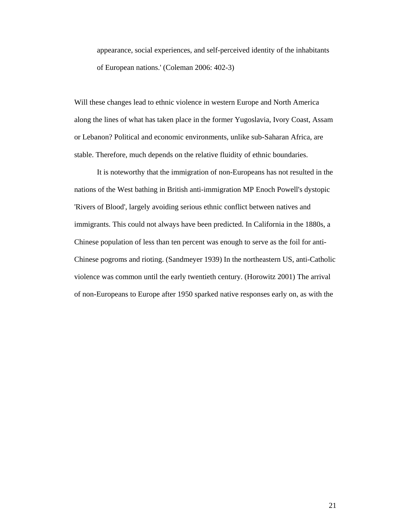appearance, social experiences, and self-perceived identity of the inhabitants of European nations.' (Coleman 2006: 402-3)

Will these changes lead to ethnic violence in western Europe and North America along the lines of what has taken place in the former Yugoslavia, Ivory Coast, Assam or Lebanon? Political and economic environments, unlike sub-Saharan Africa, are stable. Therefore, much depends on the relative fluidity of ethnic boundaries.

 It is noteworthy that the immigration of non-Europeans has not resulted in the nations of the West bathing in British anti-immigration MP Enoch Powell's dystopic 'Rivers of Blood', largely avoiding serious ethnic conflict between natives and immigrants. This could not always have been predicted. In California in the 1880s, a Chinese population of less than ten percent was enough to serve as the foil for anti-Chinese pogroms and rioting. (Sandmeyer 1939) In the northeastern US, anti-Catholic violence was common until the early twentieth century. (Horowitz 2001) The arrival of non-Europeans to Europe after 1950 sparked native responses early on, as with the 1958 Notting Hill riots, directed against West Indians in London. However, mi1a( o)5.st.3(9sequ-0.0007)5.1()-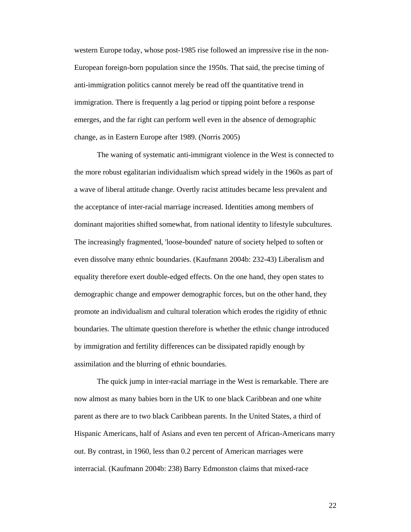western Europe today, whose post-1985 rise followed an impressive rise in the non-European foreign-born population since the 1950s. That said, the precise timing of anti-immigration politics cannot merely be read off the quantitative trend in immigration. There is frequently a lag period or tipping point before a response emerges, and the far right can perform well even in the absence of demographic change, as in Eastern Europe after 1989. (Norris 2005)

 The waning of systematic anti-immigrant violence in the West is connected to the more robust egalitarian individualism which spread widely in the 1960s as part of a wave of liberal attitude change. Overtly racist attitudes became less prevalent and the acceptance of inter-racial marriage increased. Identities among members of dominant majorities shifted somewhat, from national identity to lifestyle subcultures. The increasingly fragmented, 'loose-bounded' nature of society helped to soften or even dissolve many ethnic boundaries. (Kaufmann 2004b: 232-43) Liberalism and equality therefore exert double-edged effects. On the one hand, they open states to demographic change and empower demographic forces, but on the other hand, they promote an individualism and cultural toleration which erodes the rigidity of ethnic boundaries. The ultimate question therefore is whether the ethnic change introduced by immigration and fertility differences can be dissipated rapidly enough by assimilation and the blurring of ethnic boundaries.

 The quick jump in inter-racial marriage in the West is remarkable. There are now almost as many babies born in the UK to one black Caribbean and one white parent as there are to two black Caribbean parents. In the United States, a third of Hispanic Americans, half of Asians and even ten percent of African-Americans marry out. By contrast, in 1960, less than 0.2 percent of American marriages were interracial. (Kaufmann 2004b: 238) Barry Edmonston claims that mixed-race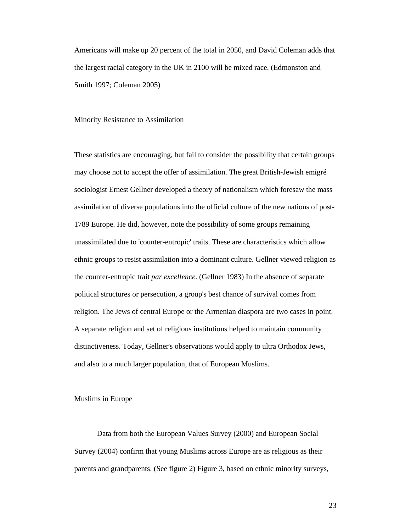Americans will make up 20 percent of the total in 2050, and David Coleman adds that the largest racial category in the UK in 2100 will be mixed race. (Edmonston and Smith 1997; Coleman 2005)

Minority Resistance to Assimilation

These statistics are encouraging, but fail to consider the possibility that certain groups may choose not to accept the offer of assimilation. The great British-Jewish emigré sociologist Ernest Gellner developed a theory of nationalism which foresaw the mass assimilation of diverse populations into the official culture of the new nations of post-1789 Europe. He did, however, note the possibility of some groups remaining unassimilated due to 'counter-entropic' traits. These are characteristics which allow ethnic groups to resist assimilation into a dominant culture. Gellner viewed religion as the counter-entropic trait *par excellence*. (Gellner 1983) In the absence of separate political structures or persecution, a group's best chance of survival comes from religion. The Jews of central Europe or the Armenian diaspora are two cases in point. A separate religion and set of religious institutions helped to maintain community distinctiveness. Today, Gellner's observations would apply to ultra Orthodox Jews, and also to a much larger population, that of European Muslims.

Muslims in Europe

 Data from both the European Values Survey (2000) and European Social Survey (2004) confirm that young Muslims across Europe are as religious as their parents and grandparents. (See figure 2) Figure 3, based on ethnic minority surveys,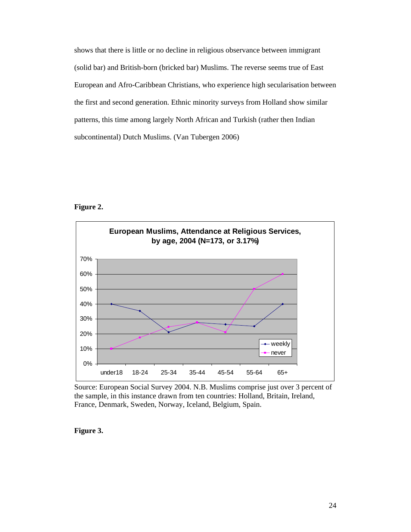shows that there is little or no decline in religious observance between immigrant (solid bar) and British-born (bricked bar) Muslims. The reverse seems true of East European and Afro-Caribbean Christians, who experience high secularisation between the first and second generation. Ethnic minority surveys from Holland show similar patterns, this time among largely North African and Turkish (rather then Indian subcontinental) Dutch Muslims. (Van Tubergen 2006)

# **Figure 2.**



Source: European Social Survey 2004. N.B. Muslims comprise just over 3 percent of the sample, in this instance drawn from ten countries: Holland, Britain, Ireland, France, Denmark, Sweden, Norway, Iceland, Belgium, Spain.

#### **Figure 3.**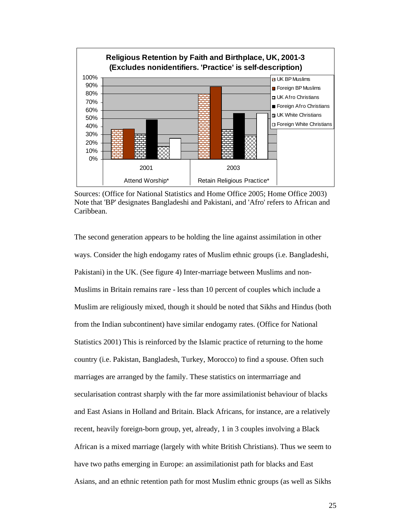

Sources: (Office for National Statistics and Home Office 2005; Home Office 2003) Note that 'BP' designates Bangladeshi and Pakistani, and 'Afro' refers to African and Caribbean.

The second generation appears to be holding the line against assimilation in other ways. Consider the high endogamy rates of Muslim ethnic groups (i.e. Bangladeshi, Pakistani) in the UK. (See figure 4) Inter-marriage between Muslims and non-Muslims in Britain remains rare - less than 10 percent of couples which include a Muslim are religiously mixed, though it should be noted that Sikhs and Hindus (both from the Indian subcontinent) have similar endogamy rates. (Office for National Statistics 2001) This is reinforced by the Islamic practice of returning to the home country (i.e. Pakistan, Bangladesh, Turkey, Morocco) to find a spouse. Often such marriages are arranged by the family. These statistics on intermarriage and secularisation contrast sharply with the far more assimilationist behaviour of blacks and East Asians in Holland and Britain. Black Africans, for instance, are a relatively recent, heavily foreign-born group, yet, already, 1 in 3 couples involving a Black African is a mixed marriage (largely with white British Christians). Thus we seem to have two paths emerging in Europe: an assimilationist path for blacks and East Asians, and an ethnic retention path for most Muslim ethnic groups (as well as Sikhs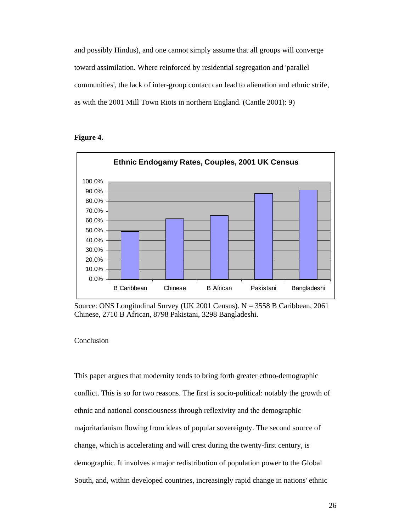and possibly Hindus), and one cannot simply assume that all groups will converge toward assimilation. Where reinforced by residential segregation and 'parallel communities', the lack of inter-group contact can lead to alienation and ethnic strife, as with the 2001 Mill Town Riots in northern England. (Cantle 2001): 9)

### **Figure 4.**



Source: ONS Longitudinal Survey (UK 2001 Census). N = 3558 B Caribbean, 2061 Chinese, 2710 B African, 8798 Pakistani, 3298 Bangladeshi.

## Conclusion

This paper argues that modernity tends to bring forth greater ethno-demographic conflict. This is so for two reasons. The first is socio-political: notably the growth of ethnic and national consciousness through reflexivity and the demographic majoritarianism flowing from ideas of popular sovereignty. The second source of change, which is accelerating and will crest during the twenty-first century, is demographic. It involves a major redistribution of population power to the Global South, and, within developed countries, increasingly rapid change in nations' ethnic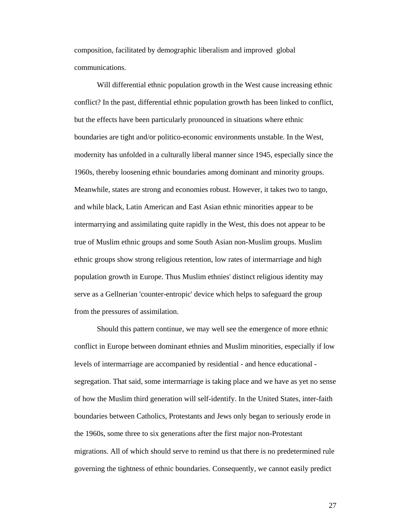composition, facilitated by demographic liberalism and improved global communications.

Will differential ethnic population growth in the West cause increasing ethnic conflict? In the past, differential ethnic population growth has been linked to conflict, but the effects have been particularly pronounced in situations where ethnic boundaries are tight and/or politico-economic environments unstable. In the West, modernity has unfolded in a culturally liberal manner since 1945, especially since the 1960s, thereby loosening ethnic boundaries among dominant and minority groups. Meanwhile, states are strong and economies robust. However, it takes two to tango, and while black, Latin American and East Asian ethnic minorities appear to be intermarrying and assimilating quite rapidly in the West, this does not appear to be true of Muslim ethnic groups and some South Asian non-Muslim groups. Muslim ethnic groups show strong religious retention, low rates of intermarriage and high population growth in Europe. Thus Muslim ethnies' distinct religious identity may serve as a Gellnerian 'counter-entropic' device which helps to safeguard the group from the pressures of assimilation.

Should this pattern continue, we may well see the emergence of more ethnic conflict in Europe between dominant ethnies and Muslim minorities, especially if low levels of intermarriage are accompanied by residential - and hence educational segregation. That said, some intermarriage is taking place and we have as yet no sense of how the Muslim third generation will self-identify. In the United States, inter-faith boundaries between Catholics, Protestants and Jews only began to seriously erode in the 1960s, some three to six generations after the first major non-Protestant migrations. All of which should serve to remind us that there is no predetermined rule governing the tightness of ethnic boundaries. Consequently, we cannot easily predict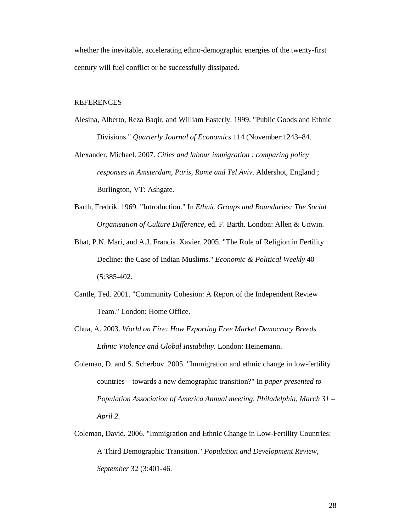whether the inevitable, accelerating ethno-demographic energies of the twenty-first century will fuel conflict or be successfully dissipated.

#### REFERENCES

- Alesina, Alberto, Reza Baqir, and William Easterly. 1999. "Public Goods and Ethnic Divisions." *Quarterly Journal of Economics* 114 (November:1243–84.
- Alexander, Michael. 2007. *Cities and labour immigration : comparing policy responses in Amsterdam, Paris, Rome and Tel Aviv*. Aldershot, England ; Burlington, VT: Ashgate.
- Barth, Fredrik. 1969. "Introduction." In *Ethnic Groups and Boundaries: The Social Organisation of Culture Difference*, ed. F. Barth. London: Allen & Unwin.
- Bhat, P.N. Mari, and A.J. Francis Xavier. 2005. "The Role of Religion in Fertility Decline: the Case of Indian Muslims." *Economic & Political Weekly* 40 (5:385-402.
- Cantle, Ted. 2001. "Community Cohesion: A Report of the Independent Review Team." London: Home Office.
- Chua, A. 2003. *World on Fire: How Exporting Free Market Democracy Breeds Ethnic Violence and Global Instability*. London: Heinemann.
- Coleman, D. and S. Scherbov. 2005. "Immigration and ethnic change in low-fertility countries – towards a new demographic transition?" In *paper presented to Population Association of America Annual meeting, Philadelphia, March 31 – April 2*.
- Coleman, David. 2006. "Immigration and Ethnic Change in Low-Fertility Countries: A Third Demographic Transition." *Population and Development Review, September* 32 (3:401-46.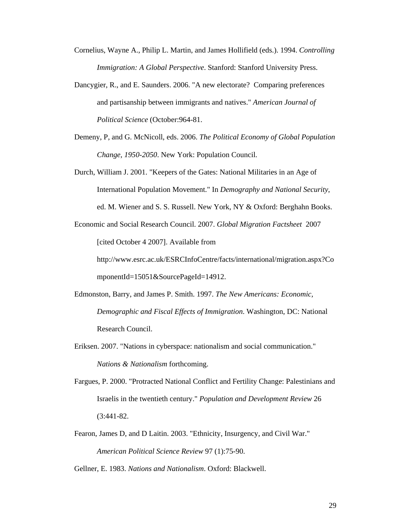Cornelius, Wayne A., Philip L. Martin, and James Hollifield (eds.). 1994. *Controlling Immigration: A Global Perspective*. Stanford: Stanford University Press.

- Dancygier, R., and E. Saunders. 2006. "A new electorate? Comparing preferences and partisanship between immigrants and natives." *American Journal of Political Science* (October:964-81.
- Demeny, P, and G. McNicoll, eds. 2006. *The Political Economy of Global Population Change, 1950-2050*. New York: Population Council.
- Durch, William J. 2001. "Keepers of the Gates: National Militaries in an Age of International Population Movement." In *Demography and National Security*, ed. M. Wiener and S. S. Russell. New York, NY & Oxford: Berghahn Books.

Economic and Social Research Council. 2007. *Global Migration Factsheet* 2007 [cited October 4 2007]. Available from http://www.esrc.ac.uk/ESRCInfoCentre/facts/international/migration.aspx?Co

mponentId=15051&SourcePageId=14912.

- Edmonston, Barry, and James P. Smith. 1997. *The New Americans: Economic, Demographic and Fiscal Effects of Immigration*. Washington, DC: National Research Council.
- Eriksen. 2007. "Nations in cyberspace: nationalism and social communication." *Nations & Nationalism* forthcoming.
- Fargues, P. 2000. "Protracted National Conflict and Fertility Change: Palestinians and Israelis in the twentieth century." *Population and Development Review* 26 (3:441-82.
- Fearon, James D, and D Laitin. 2003. "Ethnicity, Insurgency, and Civil War." *American Political Science Review* 97 (1):75-90.

Gellner, E. 1983. *Nations and Nationalism*. Oxford: Blackwell.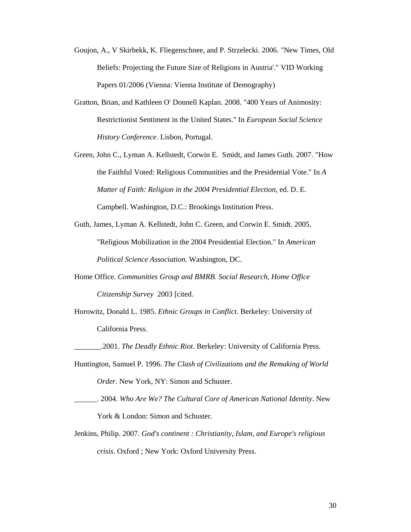- Goujon, A., V Skirbekk, K. Fliegenschnee, and P. Strzelecki. 2006. "New Times, Old Beliefs: Projecting the Future Size of Religions in Austria'." VID Working Papers 01/2006 (Vienna: Vienna Institute of Demography)
- Gratton, Brian, and Kathleen O' Donnell Kaplan. 2008. "400 Years of Animosity: Restrictionist Sentiment in the United States." In *European Social Science History Conference*. Lisbon, Portugal.
- Green, John C., Lyman A. Kellstedt, Corwin E. Smidt, and James Guth. 2007. "How the Faithful Voted: Religious Communities and the Presidential Vote." In *A Matter of Faith: Religion in the 2004 Presidential Election*, ed. D. E. Campbell. Washington, D.C.: Brookings Institution Press.
- Guth, James, Lyman A. Kellstedt, John C. Green, and Corwin E. Smidt. 2005. "Religious Mobilization in the 2004 Presidential Election." In *American Political Science Association*. Washington, DC.
- Home Office. *Communities Group and BMRB. Social Research, Home Office Citizenship Survey* 2003 [cited.
- Horowitz, Donald L. 1985. *Ethnic Groups in Conflict*. Berkeley: University of California Press.
- \_\_\_\_\_\_\_.2001. *The Deadly Ethnic Riot*. Berkeley: University of California Press.
- Huntington, Samuel P. 1996. *The Clash of Civilizations and the Remaking of World Order*. New York, NY: Simon and Schuster.
- \_\_\_\_\_\_. 2004. *Who Are We? The Cultural Core of American National Identity*. New York & London: Simon and Schuster.
- Jenkins, Philip. 2007. *God's continent : Christianity, Islam, and Europe's religious crisis*. Oxford ; New York: Oxford University Press.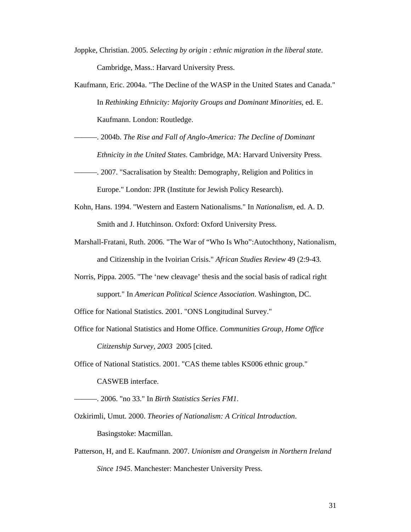- Joppke, Christian. 2005. *Selecting by origin : ethnic migration in the liberal state*. Cambridge, Mass.: Harvard University Press.
- Kaufmann, Eric. 2004a. "The Decline of the WASP in the United States and Canada." In *Rethinking Ethnicity: Majority Groups and Dominant Minorities*, ed. E. Kaufmann. London: Routledge.
- ———. 2004b. *The Rise and Fall of Anglo-America: The Decline of Dominant Ethnicity in the United States*. Cambridge, MA: Harvard University Press.
- ———. 2007. "Sacralisation by Stealth: Demography, Religion and Politics in Europe." London: JPR (Institute for Jewish Policy Research).
- Kohn, Hans. 1994. "Western and Eastern Nationalisms." In *Nationalism*, ed. A. D. Smith and J. Hutchinson. Oxford: Oxford University Press.
- Marshall-Fratani, Ruth. 2006. "The War of "Who Is Who":Autochthony, Nationalism, and Citizenship in the Ivoirian Crisis." *African Studies Review* 49 (2:9-43.
- Norris, Pippa. 2005. "The 'new cleavage' thesis and the social basis of radical right support." In *American Political Science Association*. Washington, DC.
- Office for National Statistics. 2001. "ONS Longitudinal Survey."
- Office for National Statistics and Home Office. *Communities Group, Home Office Citizenship Survey, 2003* 2005 [cited.
- Office of National Statistics. 2001. "CAS theme tables KS006 ethnic group." CASWEB interface.
- ———. 2006. "no 33." In *Birth Statistics Series FM1*.
- Ozkirimli, Umut. 2000. *Theories of Nationalism: A Critical Introduction*. Basingstoke: Macmillan.
- Patterson, H, and E. Kaufmann. 2007. *Unionism and Orangeism in Northern Ireland Since 1945*. Manchester: Manchester University Press.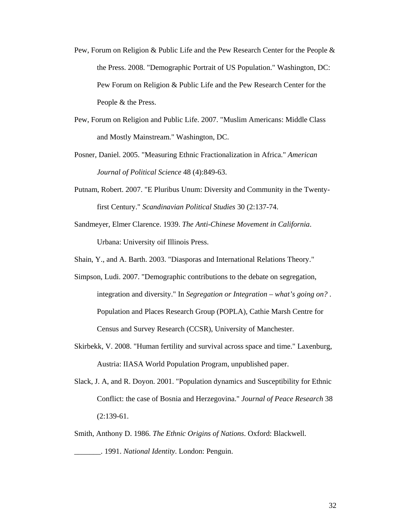- Pew, Forum on Religion & Public Life and the Pew Research Center for the People & the Press. 2008. "Demographic Portrait of US Population." Washington, DC: Pew Forum on Religion & Public Life and the Pew Research Center for the People & the Press.
- Pew, Forum on Religion and Public Life. 2007. "Muslim Americans: Middle Class and Mostly Mainstream." Washington, DC.
- Posner, Daniel. 2005. "Measuring Ethnic Fractionalization in Africa." *American Journal of Political Science* 48 (4):849-63.
- Putnam, Robert. 2007. "E Pluribus Unum: Diversity and Community in the Twentyfirst Century." *Scandinavian Political Studies* 30 (2:137-74.
- Sandmeyer, Elmer Clarence. 1939. *The Anti-Chinese Movement in California*. Urbana: University oif Illinois Press.
- Shain, Y., and A. Barth. 2003. "Diasporas and International Relations Theory."
- Simpson, Ludi. 2007. "Demographic contributions to the debate on segregation, integration and diversity." In *Segregation or Integration – what's going on?* . Population and Places Research Group (POPLA), Cathie Marsh Centre for Census and Survey Research (CCSR), University of Manchester.
- Skirbekk, V. 2008. "Human fertility and survival across space and time." Laxenburg, Austria: IIASA World Population Program, unpublished paper.
- Slack, J. A, and R. Doyon. 2001. "Population dynamics and Susceptibility for Ethnic Conflict: the case of Bosnia and Herzegovina." *Journal of Peace Research* 38 (2:139-61.
- Smith, Anthony D. 1986. *The Ethnic Origins of Nations*. Oxford: Blackwell. \_\_\_\_\_\_\_. 1991. *National Identity*. London: Penguin.